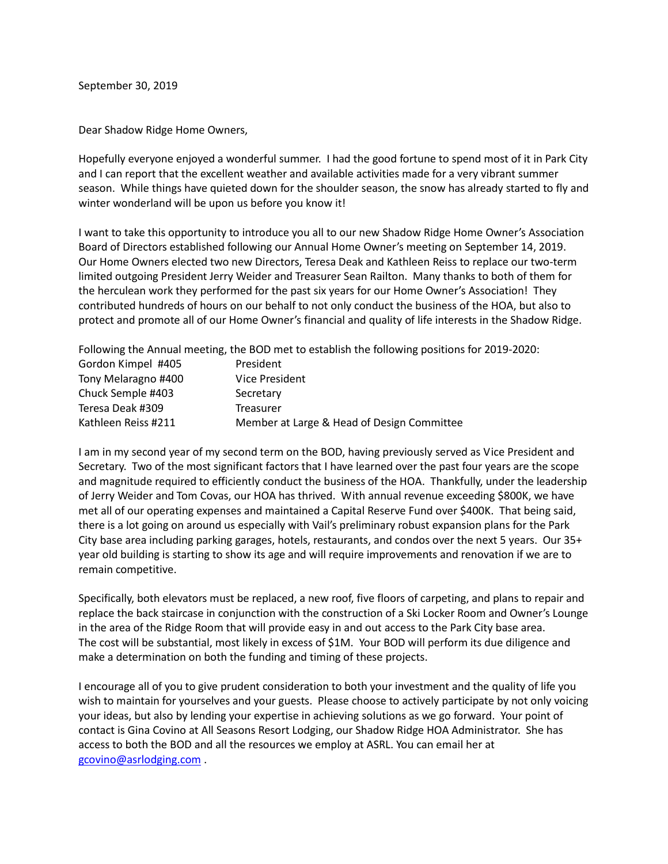September 30, 2019

Dear Shadow Ridge Home Owners,

Hopefully everyone enjoyed a wonderful summer. I had the good fortune to spend most of it in Park City and I can report that the excellent weather and available activities made for a very vibrant summer season. While things have quieted down for the shoulder season, the snow has already started to fly and winter wonderland will be upon us before you know it!

I want to take this opportunity to introduce you all to our new Shadow Ridge Home Owner's Association Board of Directors established following our Annual Home Owner's meeting on September 14, 2019. Our Home Owners elected two new Directors, Teresa Deak and Kathleen Reiss to replace our two-term limited outgoing President Jerry Weider and Treasurer Sean Railton. Many thanks to both of them for the herculean work they performed for the past six years for our Home Owner's Association! They contributed hundreds of hours on our behalf to not only conduct the business of the HOA, but also to protect and promote all of our Home Owner's financial and quality of life interests in the Shadow Ridge.

Following the Annual meeting, the BOD met to establish the following positions for 2019-2020:

| Gordon Kimpel #405  | President                                  |
|---------------------|--------------------------------------------|
| Tony Melaragno #400 | Vice President                             |
| Chuck Semple #403   | Secretary                                  |
| Teresa Deak #309    | Treasurer                                  |
| Kathleen Reiss #211 | Member at Large & Head of Design Committee |

I am in my second year of my second term on the BOD, having previously served as Vice President and Secretary. Two of the most significant factors that I have learned over the past four years are the scope and magnitude required to efficiently conduct the business of the HOA. Thankfully, under the leadership of Jerry Weider and Tom Covas, our HOA has thrived. With annual revenue exceeding \$800K, we have met all of our operating expenses and maintained a Capital Reserve Fund over \$400K. That being said, there is a lot going on around us especially with Vail's preliminary robust expansion plans for the Park City base area including parking garages, hotels, restaurants, and condos over the next 5 years. Our 35+ year old building is starting to show its age and will require improvements and renovation if we are to remain competitive.

Specifically, both elevators must be replaced, a new roof, five floors of carpeting, and plans to repair and replace the back staircase in conjunction with the construction of a Ski Locker Room and Owner's Lounge in the area of the Ridge Room that will provide easy in and out access to the Park City base area. The cost will be substantial, most likely in excess of \$1M. Your BOD will perform its due diligence and make a determination on both the funding and timing of these projects.

I encourage all of you to give prudent consideration to both your investment and the quality of life you wish to maintain for yourselves and your guests. Please choose to actively participate by not only voicing your ideas, but also by lending your expertise in achieving solutions as we go forward. Your point of contact is Gina Covino at All Seasons Resort Lodging, our Shadow Ridge HOA Administrator. She has access to both the BOD and all the resources we employ at ASRL. You can email her at [gcovino@asrlodging.com](mailto:gcovino@asrlodging.com) .